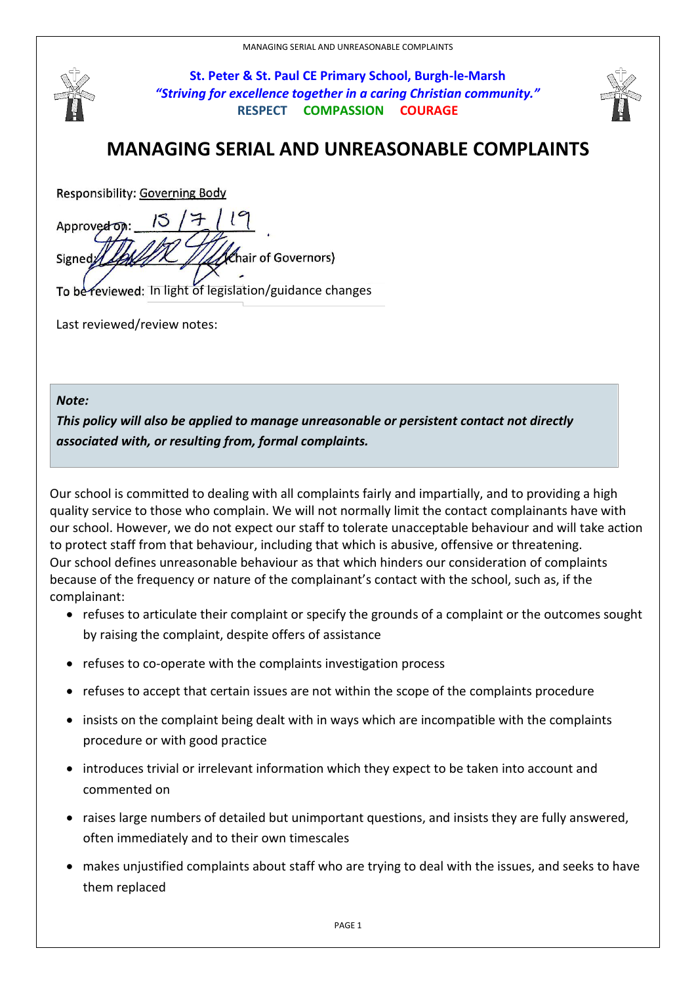

**St. Peter & St. Paul CE Primary School, Burgh-le-Marsh** *"Striving for excellence together in a caring Christian community."* **RESPECT COMPASSION COURAGE**



## **MANAGING SERIAL AND UNREASONABLE COMPLAINTS**

Responsibility: Governing Body

Approved on: hair of Governors) Signed

To be reviewed: In light of legislation/guidance changes

Last reviewed/review notes:

## *Note:*

*This policy will also be applied to manage unreasonable or persistent contact not directly associated with, or resulting from, formal complaints.*

Our school is committed to dealing with all complaints fairly and impartially, and to providing a high quality service to those who complain. We will not normally limit the contact complainants have with our school. However, we do not expect our staff to tolerate unacceptable behaviour and will take action to protect staff from that behaviour, including that which is abusive, offensive or threatening. Our school defines unreasonable behaviour as that which hinders our consideration of complaints because of the frequency or nature of the complainant's contact with the school, such as, if the complainant:

- refuses to articulate their complaint or specify the grounds of a complaint or the outcomes sought by raising the complaint, despite offers of assistance
- refuses to co-operate with the complaints investigation process
- refuses to accept that certain issues are not within the scope of the complaints procedure
- insists on the complaint being dealt with in ways which are incompatible with the complaints procedure or with good practice
- introduces trivial or irrelevant information which they expect to be taken into account and commented on
- raises large numbers of detailed but unimportant questions, and insists they are fully answered, often immediately and to their own timescales
- makes unjustified complaints about staff who are trying to deal with the issues, and seeks to have them replaced